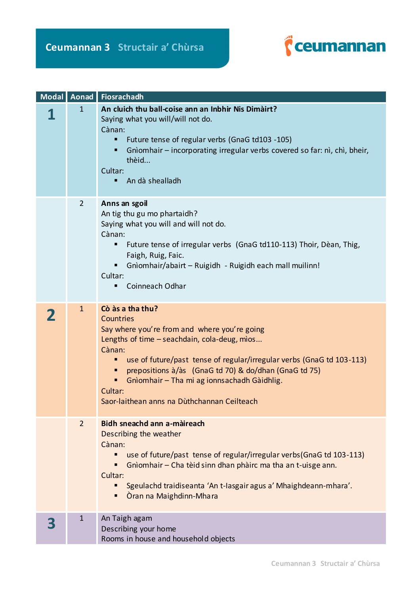

|                | Modal   Aonad   Fiosrachadh                                                                                                                                                                                                                                                                                                                                                        |
|----------------|------------------------------------------------------------------------------------------------------------------------------------------------------------------------------------------------------------------------------------------------------------------------------------------------------------------------------------------------------------------------------------|
| $\mathbf{1}$   | An cluich thu ball-coise ann an Inbhir Nis Dimàirt?<br>Saying what you will/will not do.<br>Cànan:<br>Future tense of regular verbs (GnaG td103 -105)<br>Gnìomhair – incorporating irregular verbs covered so far: nì, chì, bheir,<br>thèid<br>Cultar:<br>An dà shealladh<br>п                                                                                                     |
| $\overline{2}$ | Anns an sgoil<br>An tig thu gu mo phartaidh?<br>Saying what you will and will not do.<br>Cànan:<br>Future tense of irregular verbs (GnaG td110-113) Thoir, Dèan, Thig,<br>٠<br>Faigh, Ruig, Faic.<br>Gnìomhair/abairt - Ruigidh - Ruigidh each mall muilinn!<br>Cultar:<br>Coinneach Odhar<br>٠                                                                                    |
| $\mathbf{1}$   | Cò às a tha thu?<br>Countries<br>Say where you're from and where you're going<br>Lengths of time - seachdain, cola-deug, mios<br>Cànan:<br>use of future/past tense of regular/irregular verbs (GnaG td 103-113)<br>prepositions à/às (GnaG td 70) & do/dhan (GnaG td 75)<br>Gnìomhair - Tha mi ag ionnsachadh Gàidhlig.<br>Cultar:<br>Saor-laithean anns na Dùthchannan Ceilteach |
| $\overline{2}$ | Bidh sneachd ann a-màireach<br>Describing the weather<br>Cànan:<br>use of future/past tense of regular/irregular verbs(GnaG td 103-113)<br>Gnìomhair – Cha tèid sinn dhan phàirc ma tha an t-uisge ann.<br>Cultar:<br>Sgeulachd traidiseanta 'An t-Iasgair agus a' Mhaighdeann-mhara'.<br>Òran na Maighdinn-Mhara                                                                  |
| $\mathbf{1}$   | An Taigh agam<br>Describing your home<br>Rooms in house and household objects                                                                                                                                                                                                                                                                                                      |